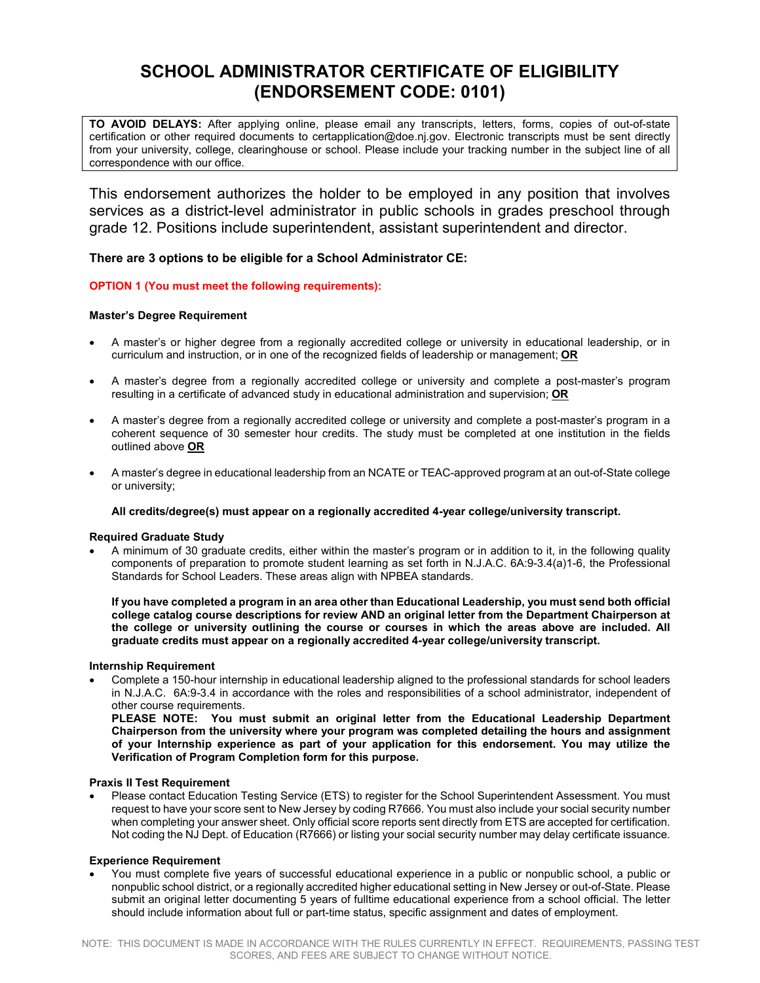# **SCHOOL ADMINISTRATOR CERTIFICATE OF ELIGIBILITY (ENDORSEMENT CODE: 0101)**

**TO AVOID DELAYS:** After applying online, please email any transcripts, letters, forms, copies of out-of-state certification or other required documents to certapplication@doe.nj.gov. Electronic transcripts must be sent directly from your university, college, clearinghouse or school. Please include your tracking number in the subject line of all correspondence with our office.

This endorsement authorizes the holder to be employed in any position that involves services as a district-level administrator in public schools in grades preschool through grade 12. Positions include superintendent, assistant superintendent and director.

# **There are 3 options to be eligible for a School Administrator CE:**

## **OPTION 1 (You must meet the following requirements):**

## **Master's Degree Requirement**

- A master's or higher degree from a regionally accredited college or university in educational leadership, or in curriculum and instruction, or in one of the recognized fields of leadership or management; **OR**
- A master's degree from a regionally accredited college or university and complete a post-master's program resulting in a certificate of advanced study in educational administration and supervision; **OR**
- A master's degree from a regionally accredited college or university and complete a post-master's program in a coherent sequence of 30 semester hour credits. The study must be completed at one institution in the fields outlined above **OR**
- A master's degree in educational leadership from an NCATE or TEAC-approved program at an out-of-State college or university;

## **All credits/degree(s) must appear on a regionally accredited 4-year college/university transcript.**

## **Required Graduate Study**

• A minimum of 30 graduate credits, either within the master's program or in addition to it, in the following quality components of preparation to promote student learning as set forth in N.J.A.C. 6A:9-3.4(a)1-6, the Professional Standards for School Leaders. These areas align with NPBEA standards.

**If you have completed a program in an area other than Educational Leadership, you must send both official college catalog course descriptions for review AND an original letter from the Department Chairperson at the college or university outlining the course or courses in which the areas above are included. All graduate credits must appear on a regionally accredited 4-year college/university transcript.** 

## **Internship Requirement**

• Complete a 150-hour internship in educational leadership aligned to the professional standards for school leaders in N.J.A.C. 6A:9-3.4 in accordance with the roles and responsibilities of a school administrator, independent of other course requirements.

**PLEASE NOTE: You must submit an original letter from the Educational Leadership Department Chairperson from the university where your program was completed detailing the hours and assignment of your Internship experience as part of your application for this endorsement. You may utilize the Verification of Program Completion form for this purpose.** 

## **Praxis II Test Requirement**

• Please contact Education Testing Service (ETS) to register for th[e School Superintendent Assessment.](http://www.ets.org/sls/prepare/materials/6021) You must request to have your score sent to New Jersey by coding R7666. You must also include your social security number when completing your answer sheet. Only official score reports sent directly from ETS are accepted for certification. Not coding the NJ Dept. of Education (R7666) or listing your social security number may delay certificate issuance.

## **Experience Requirement**

• You must complete five years of successful educational experience in a public or nonpublic school, a public or nonpublic school district, or a regionally accredited higher educational setting in New Jersey or out-of-State. Please submit an original letter documenting 5 years of fulltime educational experience from a school official. The letter should include information about full or part-time status, specific assignment and dates of employment.